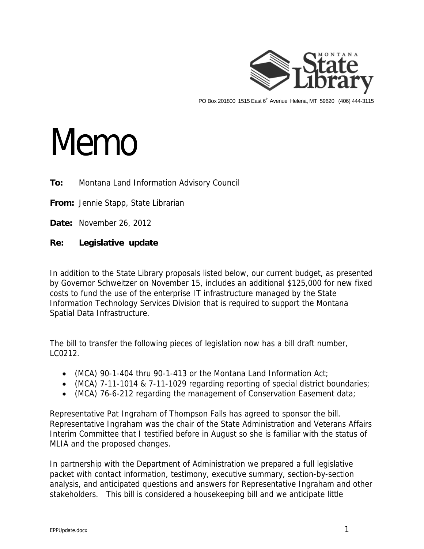

PO Box 201800 1515 East 6<sup>th</sup> Avenue Helena, MT 59620 (406) 444-3115

## Memo

## **To:** Montana Land Information Advisory Council

**From:** Jennie Stapp, State Librarian

**Date:** November 26, 2012

## **Re: Legislative update**

In addition to the State Library proposals listed below, our current budget, as presented by Governor Schweitzer on November 15, includes an additional \$125,000 for new fixed costs to fund the use of the enterprise IT infrastructure managed by the State Information Technology Services Division that is required to support the Montana Spatial Data Infrastructure.

The bill to transfer the following pieces of legislation now has a bill draft number, LC0212.

- (MCA) 90-1-404 thru 90-1-413 or the Montana Land Information Act;
- (MCA) 7-11-1014 & 7-11-1029 regarding reporting of special district boundaries;
- (MCA) 76-6-212 regarding the management of Conservation Easement data;

Representative Pat Ingraham of Thompson Falls has agreed to sponsor the bill. Representative Ingraham was the chair of the State Administration and Veterans Affairs Interim Committee that I testified before in August so she is familiar with the status of MLIA and the proposed changes.

In partnership with the Department of Administration we prepared a full legislative packet with contact information, testimony, executive summary, section-by-section analysis, and anticipated questions and answers for Representative Ingraham and other stakeholders. This bill is considered a housekeeping bill and we anticipate little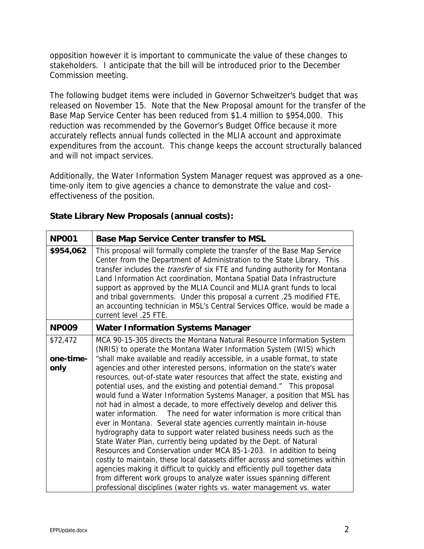opposition however it is important to communicate the value of these changes to stakeholders. I anticipate that the bill will be introduced prior to the December Commission meeting.

The following budget items were included in Governor Schweitzer's budget that was released on November 15. Note that the New Proposal amount for the transfer of the Base Map Service Center has been reduced from \$1.4 million to \$954,000. This reduction was recommended by the Governor's Budget Office because it more accurately reflects annual funds collected in the MLIA account and approximate expenditures from the account. This change keeps the account structurally balanced and will not impact services.

Additionally, the Water Information System Manager request was approved as a onetime-only item to give agencies a chance to demonstrate the value and costeffectiveness of the position.

| <b>NP001</b>                  | <b>Base Map Service Center transfer to MSL</b>                                                                                                                                                                                                                                                                                                                                                                                                                                                                                                                                                                                                                                                                                                                                                                                                                                                                                                                                                      |
|-------------------------------|-----------------------------------------------------------------------------------------------------------------------------------------------------------------------------------------------------------------------------------------------------------------------------------------------------------------------------------------------------------------------------------------------------------------------------------------------------------------------------------------------------------------------------------------------------------------------------------------------------------------------------------------------------------------------------------------------------------------------------------------------------------------------------------------------------------------------------------------------------------------------------------------------------------------------------------------------------------------------------------------------------|
| \$954,062                     | This proposal will formally complete the transfer of the Base Map Service<br>Center from the Department of Administration to the State Library. This<br>transfer includes the <i>transfer</i> of six FTE and funding authority for Montana<br>Land Information Act coordination, Montana Spatial Data Infrastructure<br>support as approved by the MLIA Council and MLIA grant funds to local<br>and tribal governments. Under this proposal a current .25 modified FTE,<br>an accounting technician in MSL's Central Services Office, would be made a<br>current level .25 FTE.                                                                                                                                                                                                                                                                                                                                                                                                                    |
| <b>NP009</b>                  | <b>Water Information Systems Manager</b>                                                                                                                                                                                                                                                                                                                                                                                                                                                                                                                                                                                                                                                                                                                                                                                                                                                                                                                                                            |
| \$72,472<br>one-time-<br>only | MCA 90-15-305 directs the Montana Natural Resource Information System<br>(NRIS) to operate the Montana Water Information System (WIS) which<br>"shall make available and readily accessible, in a usable format, to state<br>agencies and other interested persons, information on the state's water                                                                                                                                                                                                                                                                                                                                                                                                                                                                                                                                                                                                                                                                                                |
|                               | resources, out-of-state water resources that affect the state, existing and<br>potential uses, and the existing and potential demand." This proposal<br>would fund a Water Information Systems Manager, a position that MSL has<br>not had in almost a decade, to more effectively develop and deliver this<br>water information.<br>The need for water information is more critical than<br>ever in Montana. Several state agencies currently maintain in-house<br>hydrography data to support water related business needs such as the<br>State Water Plan, currently being updated by the Dept. of Natural<br>Resources and Conservation under MCA 85-1-203. In addition to being<br>costly to maintain, these local datasets differ across and sometimes within<br>agencies making it difficult to quickly and efficiently pull together data<br>from different work groups to analyze water issues spanning different<br>professional disciplines (water rights vs. water management vs. water |

## **State Library New Proposals (annual costs):**